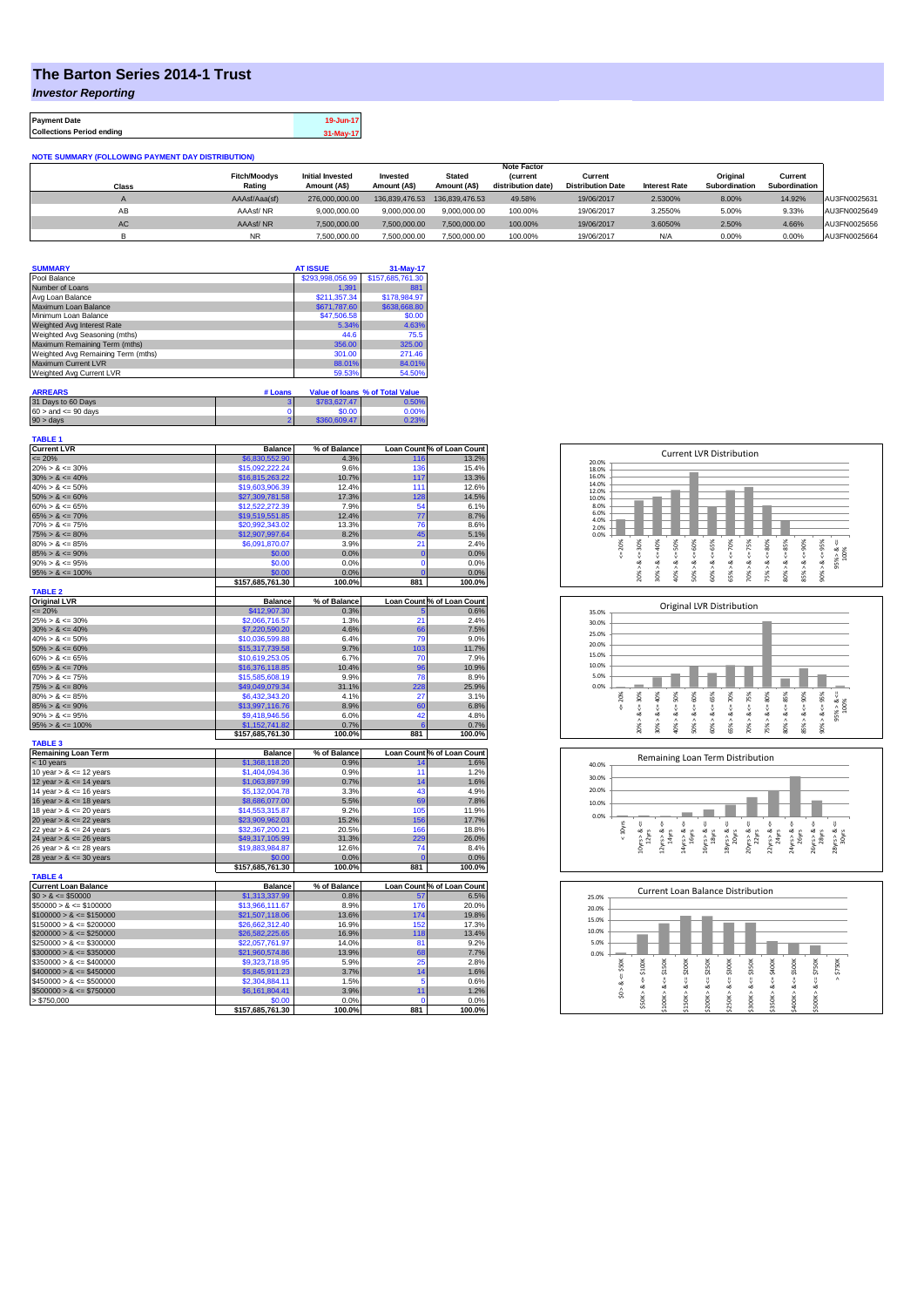## **The Barton Series 2014-1 Trust**

*Investor Reporting*

| <b>Payment Date</b>              | 19-Jun-17 |
|----------------------------------|-----------|
| <b>Collections Period ending</b> | 31-May-17 |

**NOTE SUMMARY (FOLLOWING PAYMENT DAY DISTRIBUTION)**

|              |                     |                         |                |                | <b>Note Factor</b> |                          |                      |               |               |              |
|--------------|---------------------|-------------------------|----------------|----------------|--------------------|--------------------------|----------------------|---------------|---------------|--------------|
|              | <b>Fitch/Moodvs</b> | <b>Initial Invested</b> | Invested       | <b>Stated</b>  | <b>Current</b>     | Current                  |                      | Original      | Current       |              |
| <b>Class</b> | Rating              | Amount (A\$)            | Amount (A\$)   | Amount (A\$)   | distribution date) | <b>Distribution Date</b> | <b>Interest Rate</b> | Subordination | Subordination |              |
|              | AAAsf/Aaa(sf)       | 276.000.000.00          | 136.839.476.53 | 136.839.476.53 | 49.58%             | 19/06/2017               | 2.5300%              | 8.00%         | 14.92%        | AU3FN0025631 |
| AB           | AAAsf/NR            | 9.000.000.00            | 9.000.000.00   | 9.000.000.00   | 100.00%            | 19/06/2017               | 3.2550%              | 5.00%         | 9.33%         | AU3FN0025649 |
| AC.          | AAAsf/NR            | 7.500.000.00            | 7.500.000.00   | 7.500.000.00   | 100.00%            | 19/06/2017               | 3.6050%              | 2.50%         | 4.66%         | AU3FN0025656 |
|              | <b>NR</b>           | 7.500.000.00            | 7.500.000.00   | 7.500.000.00   | 100.00%            | 19/06/2017               | N/A                  | 0.00%         | 0.00%         | AU3FN0025664 |

|         |                  | 31-May-17                       |
|---------|------------------|---------------------------------|
|         | \$293,998,056.99 | \$157,685,761,30                |
|         | 1.391            | 881                             |
|         | \$211.357.34     | \$178,984.97                    |
|         | \$671,787.60     | \$638,668.80                    |
|         | \$47,506.58      | \$0.00                          |
|         | 5.34%            | 4.63%                           |
|         | 44.6             | 75.5                            |
|         | 356.00           | 325.00                          |
|         | 301.00           | 271.46                          |
|         | 88.01%           | 84.01%                          |
|         | 59.53%           | 54.50%                          |
|         |                  |                                 |
| # Loans |                  | Value of Ioans % of Total Value |
|         |                  | <b>AT ISSUE</b>                 |

| $90 >$ days               | \$360,609.47 | 0.23% |
|---------------------------|--------------|-------|
| $60 >$ and $\leq 90$ days | \$0.00       | 0.00% |
| 31 Days to 60 Days        | \$783.627.47 | 0.50% |

| <b>TABLE 1</b><br><b>Current LVR</b> | <b>Balance</b>   | % of Balance |     | Loan Count % of Loan Count |
|--------------------------------------|------------------|--------------|-----|----------------------------|
| $\leq$ 20%                           | \$6,830,552.90   | 4.3%         | 116 | 13.2%                      |
| $20\% > 8 \le 30\%$                  | \$15,092,222,24  | 9.6%         | 136 | 15.4%                      |
| $30\% > 8 \le 40\%$                  | \$16,815,263.22  | 10.7%        | 117 | 13.3%                      |
| $40\% > 8 \le 50\%$                  | \$19,603,906.39  | 12.4%        | 111 | 12.6%                      |
| $50\% > 8 \le 60\%$                  | \$27,309,781.58  | 17.3%        | 128 | 14.5%                      |
| $60\% > 8 \le 65\%$                  | \$12,522,272.39  | 7.9%         | 54  | 6.1%                       |
| $65\% > 8 \le 70\%$                  | \$19,519,551.85  | 12.4%        | 77  | 8.7%                       |
| $70\% > 8 \le 75\%$                  | \$20,992,343.02  | 13.3%        | 76  | 8.6%                       |
| $75\% > 8 \le 80\%$                  | \$12,907,997.64  | 8.2%         | 45  | 5.1%                       |
| $80\% > 8 \le 85\%$                  | \$6,091,870.07   | 3.9%         | 21  | 2.4%                       |
| $85\% > 8 \le 90\%$                  | \$0.00           | 0.0%         | 0   | 0.0%                       |
| $90\% > 8 \le 95\%$                  | \$0.00           | 0.0%         | 0   | 0.0%                       |
| $95\% > 8 \le 100\%$                 | \$0.00           | 0.0%         | ï   | 0.0%                       |
|                                      | \$157,685,761.30 | 100.0%       | 881 | 100.0%                     |
| <b>TABLE 2</b>                       |                  |              |     |                            |
| <b>Original LVR</b>                  | <b>Balance</b>   | % of Balance |     | Loan Count % of Loan Count |
| $= 20%$                              | \$412,907.30     | 0.3%         | 5   | 0.6%                       |
| $25\% > 8 \le 30\%$                  | \$2,066,716.57   | 1.3%         | 21  | 2.4%                       |
| $30\% > 8 \le 40\%$                  | \$7,220,590.20   | 4.6%         | 66  | 7.5%                       |
| $40\% > 8 \le 50\%$                  | \$10,036,599.88  | 6.4%         | 79  | 9.0%                       |
| $50\% > 8 \le 60\%$                  | \$15,317,739.58  | 9.7%         | 103 | 11.7%                      |
| $60\% > 8 \le 65\%$                  | \$10,619,253.05  | 6.7%         | 70  | 7.9%                       |
| $65\% > 8 \le 70\%$                  | \$16,376,118.85  | 10.4%        | 96  | 10.9%                      |
| $70\% > 8 \le 75\%$                  | \$15,585,608.19  | 9.9%         | 78  | 8.9%                       |
| $75\% > 8 \le 80\%$                  | \$49,049,079.34  | 31.1%        | 228 | 25.9%                      |
| $80\% > 8 \le 85\%$                  | \$6,432,343.20   | 4.1%         | 27  | 3.1%                       |
| $85\% > 8 \le 90\%$                  | \$13,997,116.76  | 8.9%         | 60  | 6.8%                       |
| $90\% > 8 \le 95\%$                  | \$9,418,946.56   | 6.0%         | 42  | 4.8%                       |
| $95\% > 8 \le 100\%$                 | \$1,152,741.82   | 0.7%         | f   | 0.7%                       |
| <b>TABLE 3</b>                       | \$157,685,761.30 | 100.0%       | 881 | 100.0%                     |
| <b>Remaining Loan Term</b>           | <b>Balance</b>   | % of Balance |     | Loan Count % of Loan Count |
| < 10 years                           | \$1,368,118.20   | 0.9%         | 14  | 1.6%                       |
| 10 year $> 8 \le 12$ years           | \$1,404,094.36   | 0.9%         | 11  | 1.2%                       |
| 12 year $> 8 \le 14$ years           | \$1,063,897.99   | 0.7%         | 14  | 1.6%                       |
| 14 year $> 8 \le 16$ years           | \$5,132,004.78   | 3.3%         | 43  | 4.9%                       |
| 16 year $> 8 \le 18$ years           | \$8,686,077.00   | 5.5%         | 69  | 7.8%                       |
| 18 year $> 8 \le 20$ years           | \$14,553,315.87  | 9.2%         | 105 | 11.9%                      |
| 20 year $> 8 \le 22$ years           | \$23,909,962.03  | 15.2%        | 156 | 17.7%                      |
| 22 year $> 8 \le 24$ years           | \$32,367,200.21  | 20.5%        | 166 | 18.8%                      |
| 24 year $> 8 \le 26$ years           | \$49,317,105.99  | 31.3%        | 229 | 26.0%                      |
| 26 year $> 8 \le 28$ years           | \$19,883,984.87  | 12.6%        | 74  | 8.4%                       |
| 28 year $> 8 \le 30$ years           | \$0.00           | 0.0%         | 0   | 0.0%                       |
|                                      | \$157,685,761.30 | 100.0%       | 881 | 100.0%                     |
| <b>TABLE 4</b>                       |                  |              |     |                            |
| <b>Current Loan Balance</b>          | <b>Balance</b>   | % of Balance |     | Loan Count % of Loan Count |
| $$0 > 8 \le $50000$                  | \$1,313,337.99   | 0.8%         | 57  | 6.5%                       |
| $$50000 > 8 \le $100000$             | \$13,966,111.67  | 8.9%         | 176 | 20.0%                      |
| $$100000 > 8 \le $150000$            | \$21,507,118.06  | 13.6%        | 174 | 19.8%                      |
| $$150000 > 8 \leq $200000$           | \$26,662,312.40  | 16.9%        | 152 | 17.3%                      |
| $$200000 > 8 \leq $250000$           | \$26,582,225.65  | 16.9%        | 118 | 13.4%                      |
| $$250000 > 8 \leq $300000$           | \$22,057,761.97  | 14.0%        | 81  | 9.2%                       |
| $$300000 > 8 \leq $350000$           | \$21,960,574.86  | 13.9%        | 68  | 7.7%                       |
| $$350000 > 8 \le $400000$            | \$9,323,718.95   | 5.9%         | 25  | 2.8%                       |
| $$400000 > 8 \le $450000$            | \$5,845,911.23   | 3.7%         | 14  | 1.6%                       |
| $$450000 > 8 \le $500000$            | \$2,304,884.11   | 1.5%         | 5   | 0.6%                       |
| $$500000 > 8 \le $750000$            | \$6,161,804.41   | 3.9%         | 11  | 1.2%                       |
| > \$750,000                          | \$0.00           | 0.0%         | O   | 0.0%                       |
|                                      | \$157,685,761.30 | 100.0%       | 881 | 100.0%                     |







| 25.0% |       |        |        |         | <b>Current Loan Balance Distribution</b> |         |        |                      |        |         |          |
|-------|-------|--------|--------|---------|------------------------------------------|---------|--------|----------------------|--------|---------|----------|
| 20.0% |       |        |        |         |                                          |         |        |                      |        |         |          |
| 15.0% |       |        |        |         |                                          |         |        |                      |        |         |          |
| 10.0% |       |        |        |         |                                          |         |        |                      |        |         |          |
| 5.0%  |       |        |        |         |                                          |         |        |                      |        |         |          |
| 0.0%  |       |        |        |         |                                          |         |        |                      |        |         |          |
|       | \$50K | \$100K | \$150K | \$200K  | \$250K                                   | \$300K  | \$350K | \$400K               | \$500K | \$750K  | \$750K   |
|       | ű     | ő      | ű      | V       |                                          | ű       | ₩      | $\frac{1}{\sqrt{2}}$ | ₩      | ű       | $\wedge$ |
|       | ಯ     | ∞      | œ      | ∞       | œ                                        | ઌ       | œ      | ∞                    | œ      | ∞       |          |
|       | S.    | \$50K> | Λ      | \$150K> |                                          | \$250K> | л      | \$350K>              |        | \$500K> |          |
|       |       |        | \$100K |         | \$200K                                   |         | \$300K |                      | \$400K |         |          |